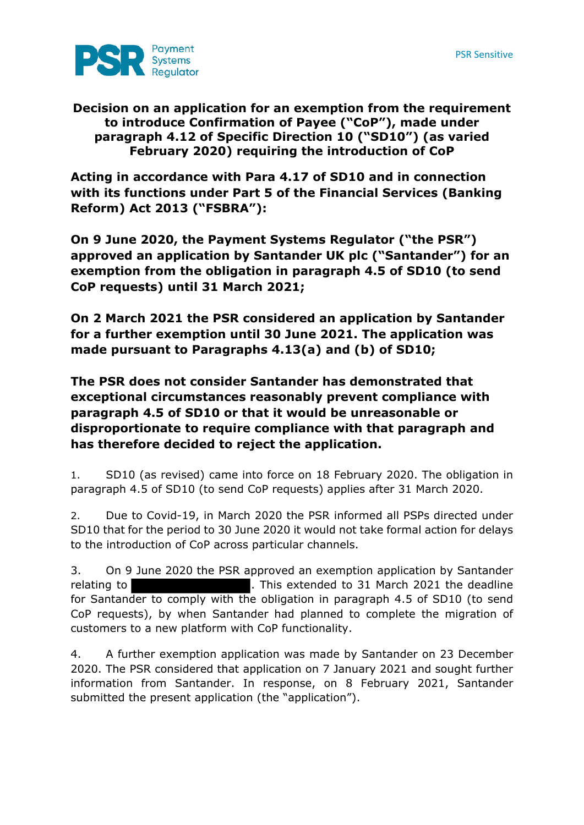

## **Decision on an application for an exemption from the requirement to introduce Confirmation of Payee ("CoP"), made under paragraph 4.12 of Specific Direction 10 ("SD10") (as varied February 2020) requiring the introduction of CoP**

**Acting in accordance with Para 4.17 of SD10 and in connection with its functions under Part 5 of the Financial Services (Banking Reform) Act 2013 ("FSBRA"):** 

**On 9 June 2020, the Payment Systems Regulator ("the PSR") approved an application by Santander UK plc ("Santander") for an exemption from the obligation in paragraph 4.5 of SD10 (to send CoP requests) until 31 March 2021;** 

**On 2 March 2021 the PSR considered an application by Santander for a further exemption until 30 June 2021. The application was made pursuant to Paragraphs 4.13(a) and (b) of SD10;** 

**The PSR does not consider Santander has demonstrated that exceptional circumstances reasonably prevent compliance with paragraph 4.5 of SD10 or that it would be unreasonable or disproportionate to require compliance with that paragraph and has therefore decided to reject the application.**

1. SD10 (as revised) came into force on 18 February 2020. The obligation in paragraph 4.5 of SD10 (to send CoP requests) applies after 31 March 2020.

2. Due to Covid-19, in March 2020 the PSR informed all PSPs directed under SD10 that for the period to 30 June 2020 it would not take formal action for delays to the introduction of CoP across particular channels.

3. On 9 June 2020 the PSR approved an exemption application by Santander relating to **.** This extended to 31 March 2021 the deadline for Santander to comply with the obligation in paragraph 4.5 of SD10 (to send CoP requests), by when Santander had planned to complete the migration of customers to a new platform with CoP functionality.

4. A further exemption application was made by Santander on 23 December 2020. The PSR considered that application on 7 January 2021 and sought further information from Santander. In response, on 8 February 2021, Santander submitted the present application (the "application").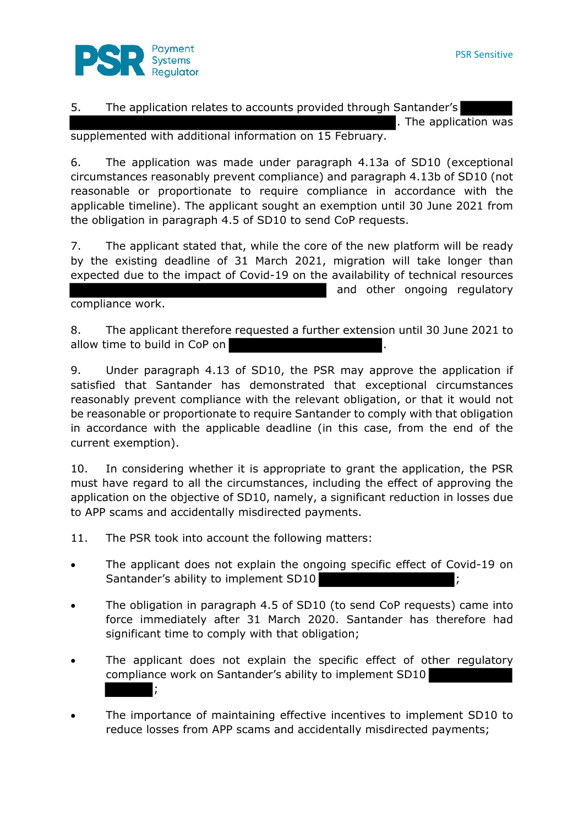

5. The application relates to accounts provided through Santander's . The application was

supplemented with additional information on 15 February.

6. The application was made under paragraph 4.13a of SD10 (exceptional circumstances reasonably prevent compliance) and paragraph 4.13b of SD10 (not reasonable or proportionate to require compliance in accordance with the applicable timeline). The applicant sought an exemption until 30 June 2021 from the obligation in paragraph 4.5 of SD10 to send CoP requests.

7. The applicant stated that, while the core of the new platform will be ready by the existing deadline of 31 March 2021, migration will take longer than expected due to the impact of Covid-19 on the availability of technical resources and other ongoing regulatory

compliance work.

8. The applicant therefore requested a further extension until 30 June 2021 to allow time to build in CoP on

9. Under paragraph 4.13 of SD10, the PSR may approve the application if satisfied that Santander has demonstrated that exceptional circumstances reasonably prevent compliance with the relevant obligation, or that it would not be reasonable or proportionate to require Santander to comply with that obligation in accordance with the applicable deadline (in this case, from the end of the current exemption).

10. In considering whether it is appropriate to grant the application, the PSR must have regard to all the circumstances, including the effect of approving the application on the objective of SD10, namely, a significant reduction in losses due to APP scams and accidentally misdirected payments.

11. The PSR took into account the following matters:

- The applicant does not explain the ongoing specific effect of Covid-19 on Santander's ability to implement SD10  $\,$  ;
- The obligation in paragraph 4.5 of SD10 (to send CoP requests) came into force immediately after 31 March 2020. Santander has therefore had significant time to comply with that obligation;
- The applicant does not explain the specific effect of other regulatory compliance work on Santander's ability to implement SD10 ;
- The importance of maintaining effective incentives to implement SD10 to reduce losses from APP scams and accidentally misdirected payments;